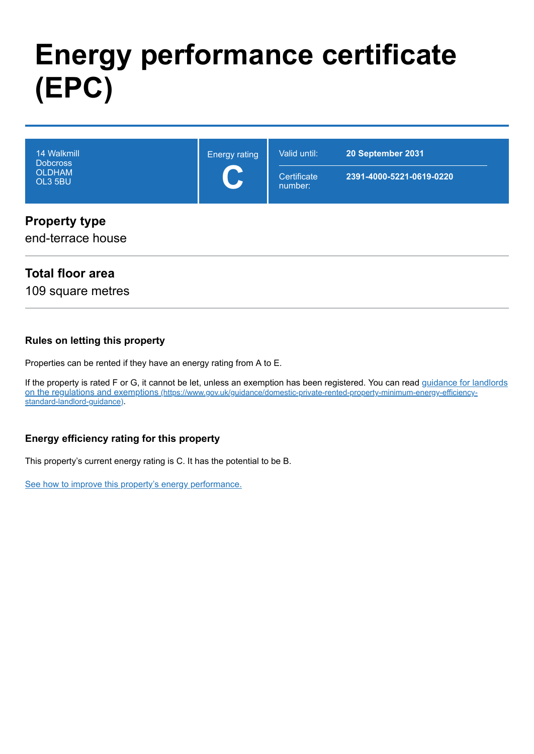# **Energy performance certificate (EPC)**

| 14 Walkmill<br><b>Dobcross</b><br><b>OLDHAM</b><br>OL3 5BU | <b>Energy rating</b><br>$\mathbf C$ | Valid until:<br>Certificate<br>number: | 20 September 2031<br>2391-4000-5221-0619-0220 |
|------------------------------------------------------------|-------------------------------------|----------------------------------------|-----------------------------------------------|
| <b>Property type</b><br>end-terrace house                  |                                     |                                        |                                               |

### **Total floor area**

109 square metres

#### **Rules on letting this property**

Properties can be rented if they have an energy rating from A to E.

[If the property is rated F or G, it cannot be let, unless an exemption has been registered. You can read guidance for landlords](https://www.gov.uk/guidance/domestic-private-rented-property-minimum-energy-efficiency-standard-landlord-guidance) on the regulations and exemptions (https://www.gov.uk/guidance/domestic-private-rented-property-minimum-energy-efficiencystandard-landlord-guidance).

#### **Energy efficiency rating for this property**

This property's current energy rating is C. It has the potential to be B.

[See how to improve this property's energy performance.](#page-3-0)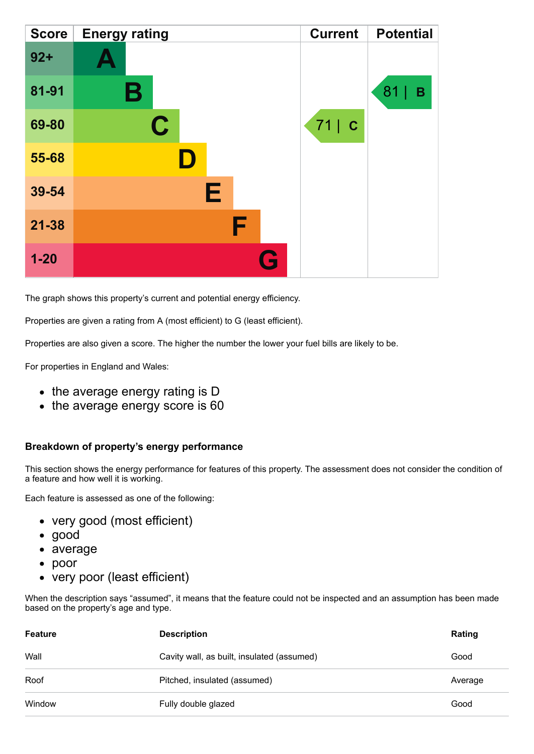| <b>Score</b> | <b>Energy rating</b> | <b>Current</b> | <b>Potential</b> |
|--------------|----------------------|----------------|------------------|
| $92 +$       |                      |                |                  |
| 81-91        | Β                    |                | 81<br>В          |
| 69-80        | $\mathbf C$          | $71$ $c$       |                  |
| 55-68        |                      |                |                  |
| 39-54        | Е                    |                |                  |
| $21 - 38$    | F                    |                |                  |
| $1 - 20$     | $\mathbf{G}$         |                |                  |

The graph shows this property's current and potential energy efficiency.

Properties are given a rating from A (most efficient) to G (least efficient).

Properties are also given a score. The higher the number the lower your fuel bills are likely to be.

For properties in England and Wales:

- the average energy rating is D
- the average energy score is 60

#### **Breakdown of property's energy performance**

This section shows the energy performance for features of this property. The assessment does not consider the condition of a feature and how well it is working.

Each feature is assessed as one of the following:

- very good (most efficient)
- good
- average
- poor
- very poor (least efficient)

When the description says "assumed", it means that the feature could not be inspected and an assumption has been made based on the property's age and type.

| Feature | <b>Description</b>                         | Rating  |
|---------|--------------------------------------------|---------|
| Wall    | Cavity wall, as built, insulated (assumed) | Good    |
|         |                                            |         |
| Roof    | Pitched, insulated (assumed)               | Average |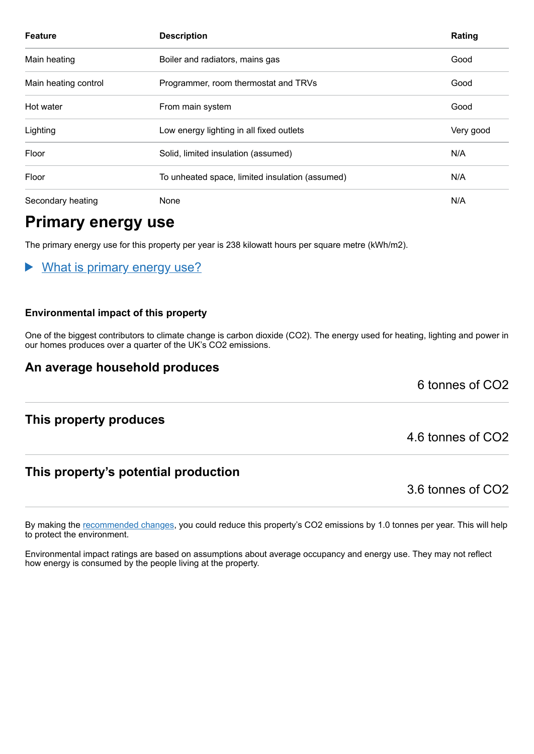| <b>Feature</b>       | <b>Description</b>                              | Rating    |
|----------------------|-------------------------------------------------|-----------|
| Main heating         | Boiler and radiators, mains gas                 | Good      |
| Main heating control | Programmer, room thermostat and TRVs            | Good      |
| Hot water            | From main system                                | Good      |
| Lighting             | Low energy lighting in all fixed outlets        | Very good |
| Floor                | Solid, limited insulation (assumed)             | N/A       |
| Floor                | To unheated space, limited insulation (assumed) | N/A       |
| Secondary heating    | None                                            | N/A       |

# **Primary energy use**

The primary energy use for this property per year is 238 kilowatt hours per square metre (kWh/m2).

What is primary energy use?

#### **Environmental impact of this property**

One of the biggest contributors to climate change is carbon dioxide (CO2). The energy used for heating, lighting and power in our homes produces over a quarter of the UK's CO2 emissions.

#### **An average household produces**

6 tonnes of CO2

#### **This property produces**

### **This property's potential production**

3.6 tonnes of CO2

4.6 tonnes of CO2

By making the [recommended changes,](#page-3-0) you could reduce this property's CO2 emissions by 1.0 tonnes per year. This will help to protect the environment.

Environmental impact ratings are based on assumptions about average occupancy and energy use. They may not reflect how energy is consumed by the people living at the property.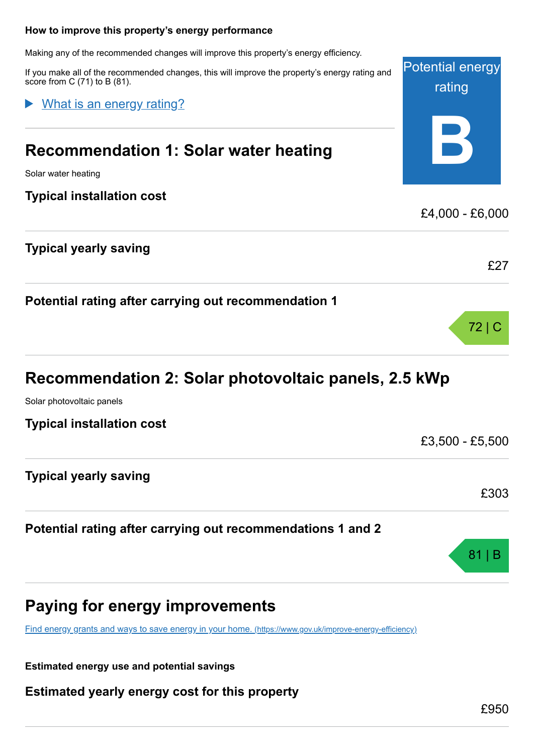#### <span id="page-3-0"></span>**How to improve this property's energy performance**

Making any of the recommended changes will improve this property's energy efficiency.

If you make all of the recommended changes, this will improve the property's energy rating and score from C (71) to B (81).

What is an energy rating?

# **Recommendation 1: Solar water heating**

Solar water heating

#### **Typical installation cost**

#### **Typical yearly saving**

**Potential rating after carrying out recommendation 1**

# **Recommendation 2: Solar photovoltaic panels, 2.5 kWp**

Solar photovoltaic panels

**Typical installation cost**

**Typical yearly saving**

#### **Potential rating after carrying out recommendations 1 and 2**

# **Paying for energy improvements**

[Find energy grants and ways to save energy in your home.](https://www.gov.uk/improve-energy-efficiency) (https://www.gov.uk/improve-energy-efficiency)

**Estimated energy use and potential savings**

**Estimated yearly energy cost for this property**

£303

81 | B

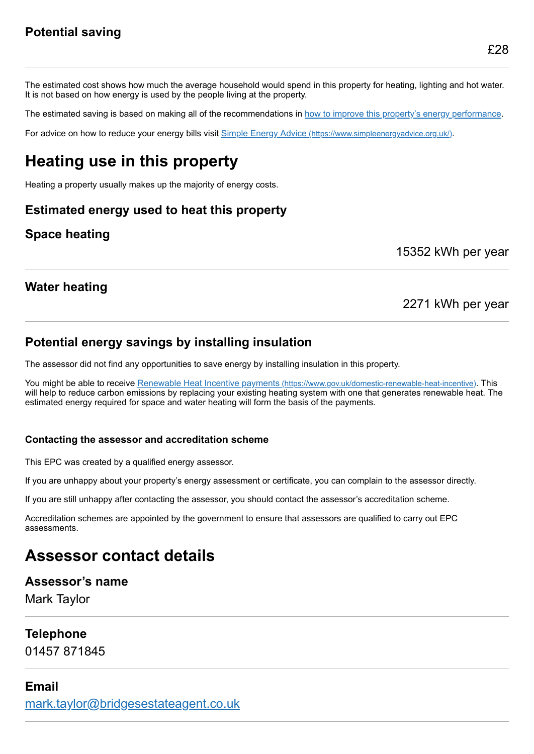The estimated cost shows how much the average household would spend in this property for heating, lighting and hot water. It is not based on how energy is used by the people living at the property.

The estimated saving is based on making all of the recommendations in [how to improve this property's energy performance.](#page-3-0)

For advice on how to reduce your energy bills visit Simple Energy Advice [\(https://www.simpleenergyadvice.org.uk/\)](https://www.simpleenergyadvice.org.uk/).

# **Heating use in this property**

Heating a property usually makes up the majority of energy costs.

### **Estimated energy used to heat this property**

## **Space heating**

15352 kWh per year

### **Water heating**

#### 2271 kWh per year

### **Potential energy savings by installing insulation**

The assessor did not find any opportunities to save energy by installing insulation in this property.

You might be able to receive Renewable Heat Incentive payments [\(https://www.gov.uk/domestic-renewable-heat-incentive\)](https://www.gov.uk/domestic-renewable-heat-incentive). This will help to reduce carbon emissions by replacing your existing heating system with one that generates renewable heat. The estimated energy required for space and water heating will form the basis of the payments.

#### **Contacting the assessor and accreditation scheme**

This EPC was created by a qualified energy assessor.

If you are unhappy about your property's energy assessment or certificate, you can complain to the assessor directly.

If you are still unhappy after contacting the assessor, you should contact the assessor's accreditation scheme.

Accreditation schemes are appointed by the government to ensure that assessors are qualified to carry out EPC assessments.

# **Assessor contact details**

#### **Assessor's name**

Mark Taylor

#### **Telephone**

01457 871845

#### **Email**

[mark.taylor@bridgesestateagent.co.uk](mailto:mark.taylor@bridgesestateagent.co.uk)